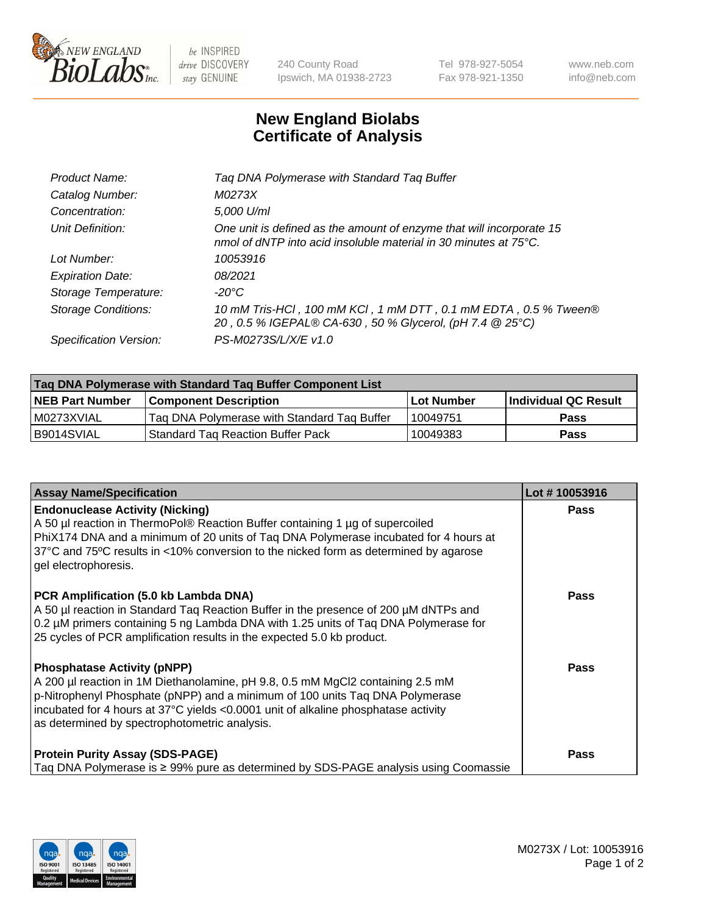

 $be$  INSPIRED drive DISCOVERY stay GENUINE

240 County Road Ipswich, MA 01938-2723 Tel 978-927-5054 Fax 978-921-1350 www.neb.com info@neb.com

## **New England Biolabs Certificate of Analysis**

| Product Name:              | Tag DNA Polymerase with Standard Tag Buffer                                                                                              |
|----------------------------|------------------------------------------------------------------------------------------------------------------------------------------|
| Catalog Number:            | M0273X                                                                                                                                   |
| Concentration:             | 5,000 U/ml                                                                                                                               |
| Unit Definition:           | One unit is defined as the amount of enzyme that will incorporate 15<br>nmol of dNTP into acid insoluble material in 30 minutes at 75°C. |
| Lot Number:                | 10053916                                                                                                                                 |
| <b>Expiration Date:</b>    | 08/2021                                                                                                                                  |
| Storage Temperature:       | $-20^{\circ}$ C                                                                                                                          |
| <b>Storage Conditions:</b> | 10 mM Tris-HCl, 100 mM KCl, 1 mM DTT, 0.1 mM EDTA, 0.5 % Tween®<br>20, 0.5 % IGEPAL® CA-630, 50 % Glycerol, (pH 7.4 @ 25°C)              |
| Specification Version:     | PS-M0273S/L/X/E v1.0                                                                                                                     |
|                            |                                                                                                                                          |

| Tag DNA Polymerase with Standard Tag Buffer Component List |                                             |                   |                      |  |
|------------------------------------------------------------|---------------------------------------------|-------------------|----------------------|--|
| <b>NEB Part Number</b>                                     | <b>Component Description</b>                | <b>Lot Number</b> | Individual QC Result |  |
| l M0273XVIAL                                               | Tag DNA Polymerase with Standard Tag Buffer | 10049751          | <b>Pass</b>          |  |
| B9014SVIAL                                                 | <b>Standard Tag Reaction Buffer Pack</b>    | 10049383          | Pass                 |  |

| <b>Assay Name/Specification</b>                                                                                                                                                                                                                                                                                                             | Lot #10053916 |
|---------------------------------------------------------------------------------------------------------------------------------------------------------------------------------------------------------------------------------------------------------------------------------------------------------------------------------------------|---------------|
| <b>Endonuclease Activity (Nicking)</b><br>A 50 µl reaction in ThermoPol® Reaction Buffer containing 1 µg of supercoiled<br>PhiX174 DNA and a minimum of 20 units of Taq DNA Polymerase incubated for 4 hours at<br>37°C and 75°C results in <10% conversion to the nicked form as determined by agarose<br>gel electrophoresis.             | Pass          |
| PCR Amplification (5.0 kb Lambda DNA)<br>A 50 µl reaction in Standard Taq Reaction Buffer in the presence of 200 µM dNTPs and<br>0.2 µM primers containing 5 ng Lambda DNA with 1.25 units of Taq DNA Polymerase for<br>25 cycles of PCR amplification results in the expected 5.0 kb product.                                              | Pass          |
| <b>Phosphatase Activity (pNPP)</b><br>A 200 µl reaction in 1M Diethanolamine, pH 9.8, 0.5 mM MgCl2 containing 2.5 mM<br>p-Nitrophenyl Phosphate (pNPP) and a minimum of 100 units Taq DNA Polymerase<br>incubated for 4 hours at 37°C yields <0.0001 unit of alkaline phosphatase activity<br>as determined by spectrophotometric analysis. | Pass          |
| <b>Protein Purity Assay (SDS-PAGE)</b><br>Taq DNA Polymerase is $\geq$ 99% pure as determined by SDS-PAGE analysis using Coomassie                                                                                                                                                                                                          | <b>Pass</b>   |